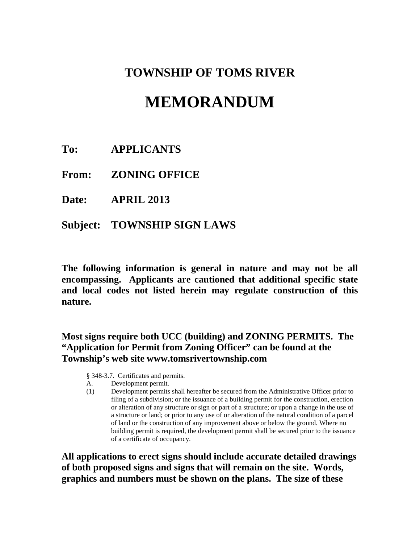## **TOWNSHIP OF TOMS RIVER**

# **MEMORANDUM**

**To: APPLICANTS**

**From: ZONING OFFICE**

**Date: APRIL 2013**

**Subject: TOWNSHIP SIGN LAWS**

**The following information is general in nature and may not be all encompassing. Applicants are cautioned that additional specific state and local codes not listed herein may regulate construction of this nature.**

### **Most signs require both UCC (building) and ZONING PERMITS. The "Application for Permit from Zoning Officer" can be found at the Township's web site www.tomsrivertownship.com**

- § 348-3.7. Certificates and permits.
- A. Development permit.
- (1) Development permits shall hereafter be secured from the Administrative Officer prior to filing of a subdivision; or the issuance of a building permit for the construction, erection or alteration of any structure or sign or part of a structure; or upon a change in the use of a structure or land; or prior to any use of or alteration of the natural condition of a parcel of land or the construction of any improvement above or below the ground. Where no building permit is required, the development permit shall be secured prior to the issuance of a certificate of occupancy.

**All applications to erect signs should include accurate detailed drawings of both proposed signs and signs that will remain on the site. Words, graphics and numbers must be shown on the plans. The size of these**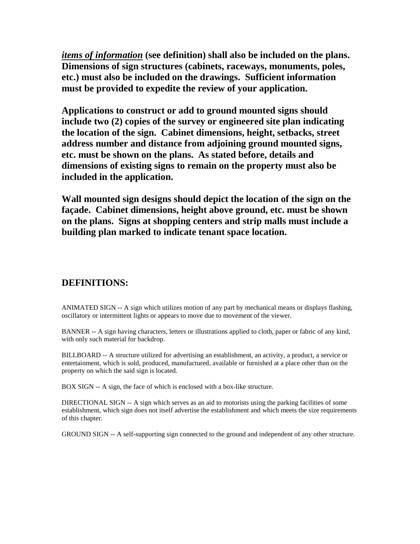*items of information* **(see definition) shall also be included on the plans. Dimensions of sign structures (cabinets, raceways, monuments, poles, etc.) must also be included on the drawings. Sufficient information must be provided to expedite the review of your application.**

**Applications to construct or add to ground mounted signs should include two (2) copies of the survey or engineered site plan indicating the location of the sign. Cabinet dimensions, height, setbacks, street address number and distance from adjoining ground mounted signs, etc. must be shown on the plans. As stated before, details and dimensions of existing signs to remain on the property must also be included in the application.**

**Wall mounted sign designs should depict the location of the sign on the façade. Cabinet dimensions, height above ground, etc. must be shown on the plans. Signs at shopping centers and strip malls must include a building plan marked to indicate tenant space location.**

### **DEFINITIONS:**

ANIMATED SIGN -- A sign which utilizes motion of any part by mechanical means or displays flashing, oscillatory or intermittent lights or appears to move due to movement of the viewer.

BANNER -- A sign having characters, letters or illustrations applied to cloth, paper or fabric of any kind, with only such material for backdrop.

BILLBOARD -- A structure utilized for advertising an establishment, an activity, a product, a service or entertainment, which is sold, produced, manufactured, available or furnished at a place other than on the property on which the said sign is located.

BOX SIGN -- A sign, the face of which is enclosed with a box-like structure.

DIRECTIONAL SIGN -- A sign which serves as an aid to motorists using the parking facilities of some establishment, which sign does not itself advertise the establishment and which meets the size requirements of this chapter.

GROUND SIGN -- A self-supporting sign connected to the ground and independent of any other structure.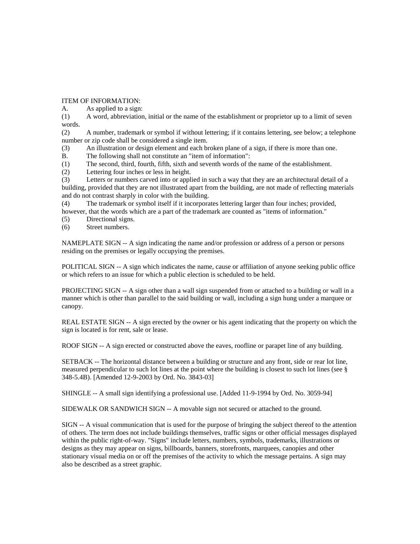ITEM OF INFORMATION:

A. As applied to a sign:

(1) A word, abbreviation, initial or the name of the establishment or proprietor up to a limit of seven words.

(2) A number, trademark or symbol if without lettering; if it contains lettering, see below; a telephone number or zip code shall be considered a single item.

(3) An illustration or design element and each broken plane of a sign, if there is more than one.

B. The following shall not constitute an "item of information":

(1) The second, third, fourth, fifth, sixth and seventh words of the name of the establishment.

(2) Lettering four inches or less in height.

(3) Letters or numbers carved into or applied in such a way that they are an architectural detail of a building, provided that they are not illustrated apart from the building, are not made of reflecting materials and do not contrast sharply in color with the building.

(4) The trademark or symbol itself if it incorporates lettering larger than four inches; provided, however, that the words which are a part of the trademark are counted as "items of information."

(5) Directional signs.

(6) Street numbers.

NAMEPLATE SIGN -- A sign indicating the name and/or profession or address of a person or persons residing on the premises or legally occupying the premises.

POLITICAL SIGN -- A sign which indicates the name, cause or affiliation of anyone seeking public office or which refers to an issue for which a public election is scheduled to be held.

PROJECTING SIGN -- A sign other than a wall sign suspended from or attached to a building or wall in a manner which is other than parallel to the said building or wall, including a sign hung under a marquee or canopy.

REAL ESTATE SIGN -- A sign erected by the owner or his agent indicating that the property on which the sign is located is for rent, sale or lease.

ROOF SIGN -- A sign erected or constructed above the eaves, roofline or parapet line of any building.

SETBACK -- The horizontal distance between a building or structure and any front, side or rear lot line, measured perpendicular to such lot lines at the point where the building is closest to such lot lines (see § 348-5.4B). [Amended 12-9-2003 by Ord. No. 3843-03]

SHINGLE -- A small sign identifying a professional use. [Added 11-9-1994 by Ord. No. 3059-94]

SIDEWALK OR SANDWICH SIGN -- A movable sign not secured or attached to the ground.

SIGN -- A visual communication that is used for the purpose of bringing the subject thereof to the attention of others. The term does not include buildings themselves, traffic signs or other official messages displayed within the public right-of-way. "Signs" include letters, numbers, symbols, trademarks, illustrations or designs as they may appear on signs, billboards, banners, storefronts, marquees, canopies and other stationary visual media on or off the premises of the activity to which the message pertains. A sign may also be described as a street graphic.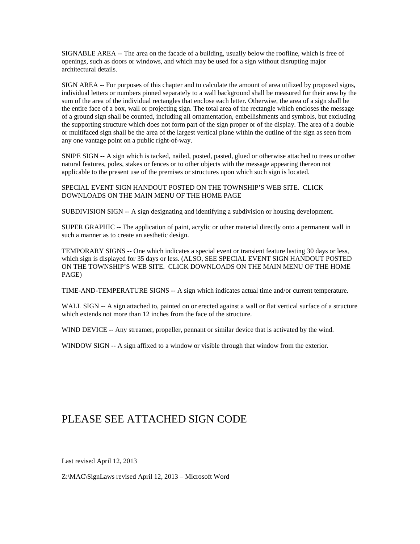SIGNABLE AREA -- The area on the facade of a building, usually below the roofline, which is free of openings, such as doors or windows, and which may be used for a sign without disrupting major architectural details.

SIGN AREA -- For purposes of this chapter and to calculate the amount of area utilized by proposed signs, individual letters or numbers pinned separately to a wall background shall be measured for their area by the sum of the area of the individual rectangles that enclose each letter. Otherwise, the area of a sign shall be the entire face of a box, wall or projecting sign. The total area of the rectangle which encloses the message of a ground sign shall be counted, including all ornamentation, embellishments and symbols, but excluding the supporting structure which does not form part of the sign proper or of the display. The area of a double or multifaced sign shall be the area of the largest vertical plane within the outline of the sign as seen from any one vantage point on a public right-of-way.

SNIPE SIGN -- A sign which is tacked, nailed, posted, pasted, glued or otherwise attached to trees or other natural features, poles, stakes or fences or to other objects with the message appearing thereon not applicable to the present use of the premises or structures upon which such sign is located.

SPECIAL EVENT SIGN HANDOUT POSTED ON THE TOWNSHIP'S WEB SITE. CLICK DOWNLOADS ON THE MAIN MENU OF THE HOME PAGE

SUBDIVISION SIGN -- A sign designating and identifying a subdivision or housing development.

SUPER GRAPHIC -- The application of paint, acrylic or other material directly onto a permanent wall in such a manner as to create an aesthetic design.

TEMPORARY SIGNS -- One which indicates a special event or transient feature lasting 30 days or less, which sign is displayed for 35 days or less. (ALSO, SEE SPECIAL EVENT SIGN HANDOUT POSTED ON THE TOWNSHIP'S WEB SITE. CLICK DOWNLOADS ON THE MAIN MENU OF THE HOME PAGE)

TIME-AND-TEMPERATURE SIGNS -- A sign which indicates actual time and/or current temperature.

WALL SIGN -- A sign attached to, painted on or erected against a wall or flat vertical surface of a structure which extends not more than 12 inches from the face of the structure.

WIND DEVICE -- Any streamer, propeller, pennant or similar device that is activated by the wind.

WINDOW SIGN -- A sign affixed to a window or visible through that window from the exterior.

### PLEASE SEE ATTACHED SIGN CODE

Last revised April 12, 2013

Z:\MAC\SignLaws revised April 12, 2013 – Microsoft Word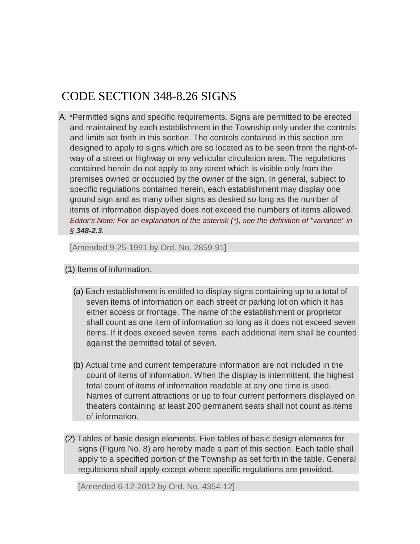## CODE SECTION 348-8.26 SIGNS

[A.](http://ecode360.com/12011967#12011968#12011968) \*Permitted signs and specific requirements. Signs are permitted to be erected and maintained by each establishment in the Township only under the controls and limits set forth in this section. The controls contained in this section are designed to apply to signs which are so located as to be seen from the right-ofway of a street or highway or any vehicular circulation area. The regulations contained herein do not apply to any street which is visible only from the premises owned or occupied by the owner of the sign. In general, subject to specific regulations contained herein, each establishment may display one ground sign and as many other signs as desired so long as the number of items of information displayed does not exceed the numbers of items allowed. *Editor's Note: For an explanation of the asterisk (\*), see the definition of "variance" in § [348-2.3](http://ecode360.com/12011967#12009840#12009840).* 

[Amended 9-25-1991 by Ord. No. 2859-91]

[\(1\)](http://ecode360.com/12011967#12011969#12011969) Items of information.

- [\(a\)](http://ecode360.com/12011967#12011970#12011970) Each establishment is entitled to display signs containing up to a total of seven items of information on each street or parking lot on which it has either access or frontage. The name of the establishment or proprietor shall count as one item of information so long as it does not exceed seven items. If it does exceed seven items, each additional item shall be counted against the permitted total of seven.
- [\(b\)](http://ecode360.com/12011967#12011971#12011971) Actual time and current temperature information are not included in the count of items of information. When the display is intermittent, the highest total count of items of information readable at any one time is used. Names of current attractions or up to four current performers displayed on theaters containing at least 200 permanent seats shall not count as items of information.
- [\(2\)](http://ecode360.com/12011967#12011972#12011972) Tables of basic design elements. Five tables of basic design elements for signs (Figure No. 8) are hereby made a part of this section. Each table shall apply to a specified portion of the Township as set forth in the table. General regulations shall apply except where specific regulations are provided.

[Amended 6-12-2012 by Ord. No. 4354-12]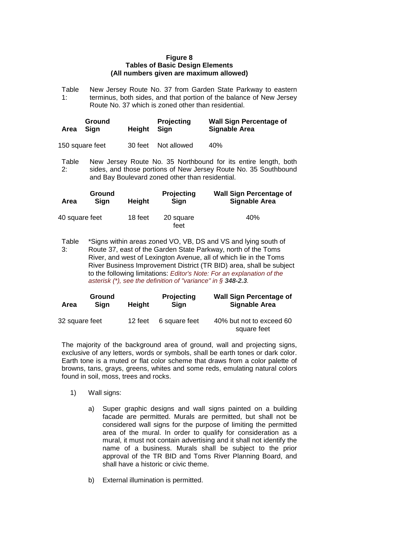#### **Figure 8 Tables of Basic Design Elements (All numbers given are maximum allowed)**

Table 1: New Jersey Route No. 37 from Garden State Parkway to eastern terminus, both sides, and that portion of the balance of New Jersey Route No. 37 which is zoned other than residential.

| Area            | Ground<br>Sian | Heiaht  | <b>Projecting</b><br>Sian | <b>Wall Sign Percentage of</b><br>Signable Area |
|-----------------|----------------|---------|---------------------------|-------------------------------------------------|
| 150 square feet |                | 30 feet | Not allowed               | 40%                                             |

Table 2: New Jersey Route No. 35 Northbound for its entire length, both sides, and those portions of New Jersey Route No. 35 Southbound and Bay Boulevard zoned other than residential.

| Area           | Ground<br>Sian | <b>Height</b> | <b>Projecting</b><br>Sign | <b>Wall Sign Percentage of</b><br>Signable Area |
|----------------|----------------|---------------|---------------------------|-------------------------------------------------|
| 40 square feet |                | 18 feet       | 20 square<br>feet         | 40%                                             |

Table 3: \*Signs within areas zoned VO, VB, DS and VS and lying south of Route 37, east of the Garden State Parkway, north of the Toms River, and west of Lexington Avenue, all of which lie in the Toms River Business Improvement District (TR BID) area, shall be subject to the following limitations: *Editor's Note: For an explanation of the asterisk (\*), see the definition of "variance" in § [348-2.3](http://ecode360.com/12011967#12009840#12009840).* 

| Area           | <b>Ground</b><br>Sian | Height  | <b>Projecting</b><br>Sian | <b>Wall Sign Percentage of</b><br>Signable Area |
|----------------|-----------------------|---------|---------------------------|-------------------------------------------------|
| 32 square feet |                       | 12 feet | 6 square feet             | 40% but not to exceed 60<br>square feet         |

The majority of the background area of ground, wall and projecting signs, exclusive of any letters, words or symbols, shall be earth tones or dark color. Earth tone is a muted or flat color scheme that draws from a color palette of browns, tans, grays, greens, whites and some reds, emulating natural colors found in soil, moss, trees and rocks.

- 1) Wall signs:
	- a) Super graphic designs and wall signs painted on a building facade are permitted. Murals are permitted, but shall not be considered wall signs for the purpose of limiting the permitted area of the mural. In order to qualify for consideration as a mural, it must not contain advertising and it shall not identify the name of a business. Murals shall be subject to the prior approval of the TR BID and Toms River Planning Board, and shall have a historic or civic theme.
	- b) External illumination is permitted.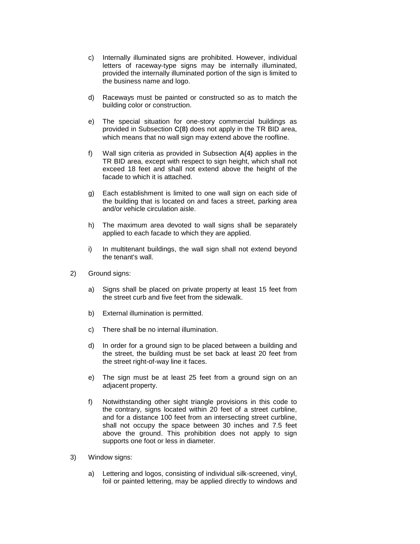- c) Internally illuminated signs are prohibited. However, individual letters of raceway-type signs may be internally illuminated, provided the internally illuminated portion of the sign is limited to the business name and logo.
- d) Raceways must be painted or constructed so as to match the building color or construction.
- e) The special situation for one-story commercial buildings as provided in Subsection **[C\(8\)](http://ecode360.com/12011967#12012036#12012036)** does not apply in the TR BID area, which means that no wall sign may extend above the roofline.
- f) Wall sign criteria as provided in Subsection **[A\(4\)](http://ecode360.com/12011967#12011983#12011983)** applies in the TR BID area, except with respect to sign height, which shall not exceed 18 feet and shall not extend above the height of the facade to which it is attached.
- g) Each establishment is limited to one wall sign on each side of the building that is located on and faces a street, parking area and/or vehicle circulation aisle.
- h) The maximum area devoted to wall signs shall be separately applied to each facade to which they are applied.
- i) In multitenant buildings, the wall sign shall not extend beyond the tenant's wall.
- 2) Ground signs:
	- a) Signs shall be placed on private property at least 15 feet from the street curb and five feet from the sidewalk.
	- b) External illumination is permitted.
	- c) There shall be no internal illumination.
	- d) In order for a ground sign to be placed between a building and the street, the building must be set back at least 20 feet from the street right-of-way line it faces.
	- e) The sign must be at least 25 feet from a ground sign on an adjacent property.
	- f) Notwithstanding other sight triangle provisions in this code to the contrary, signs located within 20 feet of a street curbline, and for a distance 100 feet from an intersecting street curbline, shall not occupy the space between 30 inches and 7.5 feet above the ground. This prohibition does not apply to sign supports one foot or less in diameter.
- 3) Window signs:
	- a) Lettering and logos, consisting of individual silk-screened, vinyl, foil or painted lettering, may be applied directly to windows and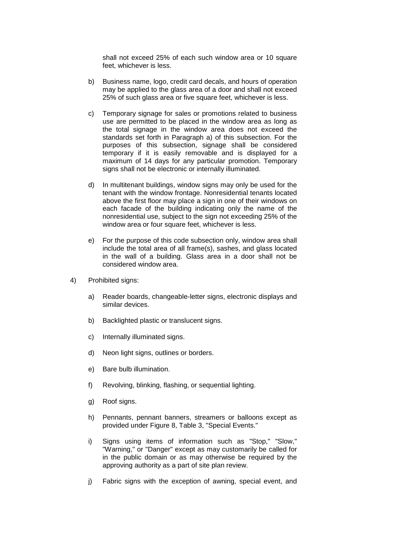shall not exceed 25% of each such window area or 10 square feet, whichever is less.

- b) Business name, logo, credit card decals, and hours of operation may be applied to the glass area of a door and shall not exceed 25% of such glass area or five square feet, whichever is less.
- c) Temporary signage for sales or promotions related to business use are permitted to be placed in the window area as long as the total signage in the window area does not exceed the standards set forth in Paragraph a) of this subsection. For the purposes of this subsection, signage shall be considered temporary if it is easily removable and is displayed for a maximum of 14 days for any particular promotion. Temporary signs shall not be electronic or internally illuminated.
- d) In multitenant buildings, window signs may only be used for the tenant with the window frontage. Nonresidential tenants located above the first floor may place a sign in one of their windows on each facade of the building indicating only the name of the nonresidential use, subject to the sign not exceeding 25% of the window area or four square feet, whichever is less.
- e) For the purpose of this code subsection only, window area shall include the total area of all frame(s), sashes, and glass located in the wall of a building. Glass area in a door shall not be considered window area.
- 4) Prohibited signs:
	- a) Reader boards, changeable-letter signs, electronic displays and similar devices.
	- b) Backlighted plastic or translucent signs.
	- c) Internally illuminated signs.
	- d) Neon light signs, outlines or borders.
	- e) Bare bulb illumination.
	- f) Revolving, blinking, flashing, or sequential lighting.
	- g) Roof signs.
	- h) Pennants, pennant banners, streamers or balloons except as provided under Figure 8, Table 3, "Special Events."
	- i) Signs using items of information such as "Stop," "Slow," "Warning," or "Danger" except as may customarily be called for in the public domain or as may otherwise be required by the approving authority as a part of site plan review.
	- j) Fabric signs with the exception of awning, special event, and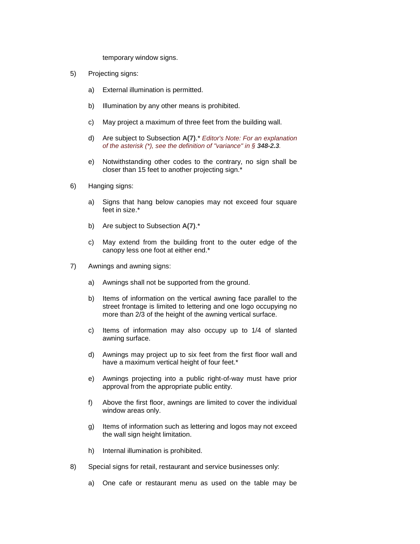temporary window signs.

- 5) Projecting signs:
	- a) External illumination is permitted.
	- b) Illumination by any other means is prohibited.
	- c) May project a maximum of three feet from the building wall.
	- d) Are subject to Subsection **[A\(7\)](http://ecode360.com/12011967#12011992#12011992)**.\* *Editor's Note: For an explanation of the asterisk (\*), see the definition of "variance" in § [348-2.3](http://ecode360.com/12011967#12009840#12009840).*
	- e) Notwithstanding other codes to the contrary, no sign shall be closer than 15 feet to another projecting sign.\*
- 6) Hanging signs:
	- a) Signs that hang below canopies may not exceed four square feet in size.\*
	- b) Are subject to Subsection **[A\(7\)](http://ecode360.com/12011967#12011992#12011992)**.\*
	- c) May extend from the building front to the outer edge of the canopy less one foot at either end.\*
- 7) Awnings and awning signs:
	- a) Awnings shall not be supported from the ground.
	- b) Items of information on the vertical awning face parallel to the street frontage is limited to lettering and one logo occupying no more than 2/3 of the height of the awning vertical surface.
	- c) Items of information may also occupy up to 1/4 of slanted awning surface.
	- d) Awnings may project up to six feet from the first floor wall and have a maximum vertical height of four feet.\*
	- e) Awnings projecting into a public right-of-way must have prior approval from the appropriate public entity.
	- f) Above the first floor, awnings are limited to cover the individual window areas only.
	- g) Items of information such as lettering and logos may not exceed the wall sign height limitation.
	- h) Internal illumination is prohibited.
- 8) Special signs for retail, restaurant and service businesses only:
	- a) One cafe or restaurant menu as used on the table may be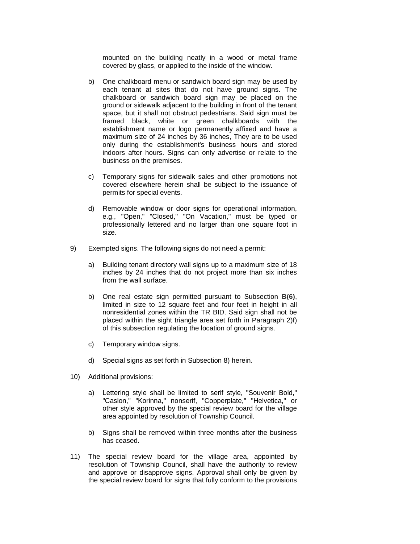mounted on the building neatly in a wood or metal frame covered by glass, or applied to the inside of the window.

- b) One chalkboard menu or sandwich board sign may be used by each tenant at sites that do not have ground signs. The chalkboard or sandwich board sign may be placed on the ground or sidewalk adjacent to the building in front of the tenant space, but it shall not obstruct pedestrians. Said sign must be framed black, white or green chalkboards with the establishment name or logo permanently affixed and have a maximum size of 24 inches by 36 inches, They are to be used only during the establishment's business hours and stored indoors after hours. Signs can only advertise or relate to the business on the premises.
- c) Temporary signs for sidewalk sales and other promotions not covered elsewhere herein shall be subject to the issuance of permits for special events.
- d) Removable window or door signs for operational information, e.g., "Open," "Closed," "On Vacation," must be typed or professionally lettered and no larger than one square foot in size.
- 9) Exempted signs. The following signs do not need a permit:
	- a) Building tenant directory wall signs up to a maximum size of 18 inches by 24 inches that do not project more than six inches from the wall surface.
	- b) One real estate sign permitted pursuant to Subsection **[B\(6\)](http://ecode360.com/12011967#12012015#12012015)**, limited in size to 12 square feet and four feet in height in all nonresidential zones within the TR BID. Said sign shall not be placed within the sight triangle area set forth in Paragraph 2)f) of this subsection regulating the location of ground signs.
	- c) Temporary window signs.
	- d) Special signs as set forth in Subsection 8) herein.
- 10) Additional provisions:
	- a) Lettering style shall be limited to serif style, "Souvenir Bold," "Caslon," "Korinna," nonserif, "Copperplate," "Helvetica," or other style approved by the special review board for the village area appointed by resolution of Township Council.
	- b) Signs shall be removed within three months after the business has ceased.
- 11) The special review board for the village area, appointed by resolution of Township Council, shall have the authority to review and approve or disapprove signs. Approval shall only be given by the special review board for signs that fully conform to the provisions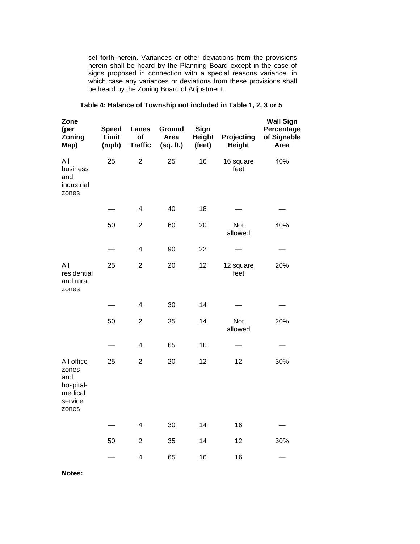set forth herein. Variances or other deviations from the provisions herein shall be heard by the Planning Board except in the case of signs proposed in connection with a special reasons variance, in which case any variances or deviations from these provisions shall be heard by the Zoning Board of Adjustment.

| Zone<br>(per<br>Zoning<br>Map)                                         | <b>Speed</b><br>Limit<br>(mph) | Lanes<br>of<br><b>Traffic</b> | Ground<br>Area<br>(sq. ft.) | Sign<br><b>Height</b><br>(feet) | Projecting<br><b>Height</b> | <b>Wall Sign</b><br>Percentage<br>of Signable<br>Area |
|------------------------------------------------------------------------|--------------------------------|-------------------------------|-----------------------------|---------------------------------|-----------------------------|-------------------------------------------------------|
| All<br>business<br>and<br>industrial<br>zones                          | 25                             | $\overline{2}$                | 25                          | 16                              | 16 square<br>feet           | 40%                                                   |
|                                                                        |                                | $\overline{\mathbf{4}}$       | 40                          | 18                              |                             |                                                       |
|                                                                        | 50                             | $\overline{2}$                | 60                          | 20                              | Not<br>allowed              | 40%                                                   |
|                                                                        |                                | $\overline{\mathbf{4}}$       | 90                          | 22                              |                             |                                                       |
| All<br>residential<br>and rural<br>zones                               | 25                             | $\overline{c}$                | 20                          | 12                              | 12 square<br>feet           | 20%                                                   |
|                                                                        |                                | $\overline{\mathbf{4}}$       | 30                          | 14                              |                             |                                                       |
|                                                                        | 50                             | $\overline{2}$                | 35                          | 14                              | Not<br>allowed              | 20%                                                   |
|                                                                        |                                | $\overline{\mathbf{4}}$       | 65                          | 16                              |                             |                                                       |
| All office<br>zones<br>and<br>hospital-<br>medical<br>service<br>zones | 25                             | $\overline{2}$                | 20                          | 12                              | 12                          | 30%                                                   |
|                                                                        |                                | $\overline{\mathbf{4}}$       | 30                          | 14                              | 16                          |                                                       |
|                                                                        | 50                             | $\overline{2}$                | 35                          | 14                              | 12                          | 30%                                                   |
|                                                                        |                                | $\overline{\mathbf{4}}$       | 65                          | 16                              | 16                          |                                                       |

#### **Table 4: Balance of Township not included in Table 1, 2, 3 or 5**

**Notes:**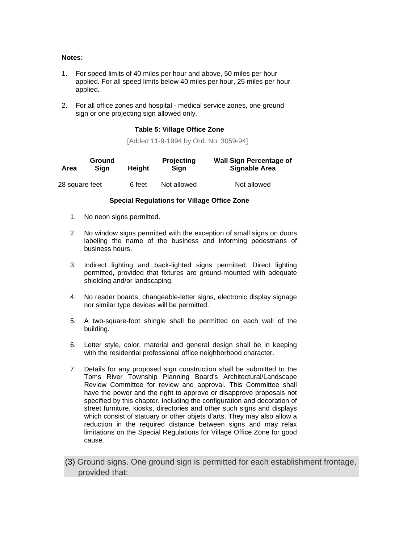#### **Notes:**

- 1. For speed limits of 40 miles per hour and above, 50 miles per hour applied. For all speed limits below 40 miles per hour, 25 miles per hour applied.
- 2. For all office zones and hospital medical service zones, one ground sign or one projecting sign allowed only.

#### **Table 5: Village Office Zone**

[Added 11-9-1994 by Ord. No. 3059-94]

| Area           | Ground<br>Sian | Heiaht | <b>Projecting</b><br>Sian | <b>Wall Sign Percentage of</b><br>Signable Area |
|----------------|----------------|--------|---------------------------|-------------------------------------------------|
| 28 square feet |                | 6 feet | Not allowed               | Not allowed                                     |

#### **Special Regulations for Village Office Zone**

- 1. No neon signs permitted.
- 2. No window signs permitted with the exception of small signs on doors labeling the name of the business and informing pedestrians of business hours.
- 3. Indirect lighting and back-lighted signs permitted. Direct lighting permitted, provided that fixtures are ground-mounted with adequate shielding and/or landscaping.
- 4. No reader boards, changeable-letter signs, electronic display signage nor similar type devices will be permitted.
- 5. A two-square-foot shingle shall be permitted on each wall of the building.
- 6. Letter style, color, material and general design shall be in keeping with the residential professional office neighborhood character.
- 7. Details for any proposed sign construction shall be submitted to the Toms River Township Planning Board's Architectural/Landscape Review Committee for review and approval. This Committee shall have the power and the right to approve or disapprove proposals not specified by this chapter, including the configuration and decoration of street furniture, kiosks, directories and other such signs and displays which consist of statuary or other objets d'arts. They may also allow a reduction in the required distance between signs and may relax limitations on the Special Regulations for Village Office Zone for good cause.
- [\(3\)](http://ecode360.com/12011967#12011973#12011973) Ground signs. One ground sign is permitted for each establishment frontage, provided that: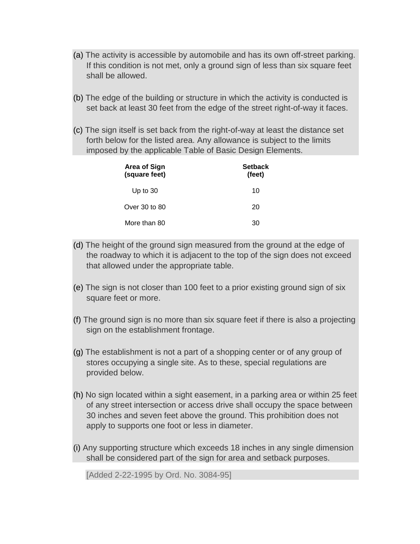- [\(a\)](http://ecode360.com/12011967#12011974#12011974) The activity is accessible by automobile and has its own off-street parking. If this condition is not met, only a ground sign of less than six square feet shall be allowed.
- [\(b\)](http://ecode360.com/12011967#12011975#12011975) The edge of the building or structure in which the activity is conducted is set back at least 30 feet from the edge of the street right-of-way it faces.
- [\(c\)](http://ecode360.com/12011967#12011976#12011976) The sign itself is set back from the right-of-way at least the distance set forth below for the listed area. Any allowance is subject to the limits imposed by the applicable Table of Basic Design Elements.

| <b>Area of Sign</b><br>(square feet) | <b>Setback</b><br>(feet) |
|--------------------------------------|--------------------------|
| Up to $30$                           | 10                       |
| Over 30 to 80                        | 20                       |
| More than 80                         | 30                       |

- [\(d\)](http://ecode360.com/12011967#12011977#12011977) The height of the ground sign measured from the ground at the edge of the roadway to which it is adjacent to the top of the sign does not exceed that allowed under the appropriate table.
- [\(e\)](http://ecode360.com/12011967#12011978#12011978) The sign is not closer than 100 feet to a prior existing ground sign of six square feet or more.
- [\(f\)](http://ecode360.com/12011967#12011979#12011979) The ground sign is no more than six square feet if there is also a projecting sign on the establishment frontage.
- [\(g\)](http://ecode360.com/12011967#12011980#12011980) The establishment is not a part of a shopping center or of any group of stores occupying a single site. As to these, special regulations are provided below.
- [\(h\)](http://ecode360.com/12011967#12011981#12011981) No sign located within a sight easement, in a parking area or within 25 feet of any street intersection or access drive shall occupy the space between 30 inches and seven feet above the ground. This prohibition does not apply to supports one foot or less in diameter.
- [\(i\)](http://ecode360.com/12011967#12011982#12011982) Any supporting structure which exceeds 18 inches in any single dimension shall be considered part of the sign for area and setback purposes.

[Added 2-22-1995 by Ord. No. 3084-95]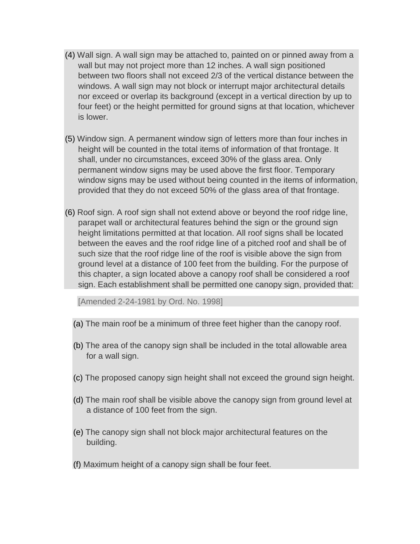- [\(4\)](http://ecode360.com/12011967#12011983#12011983) Wall sign. A wall sign may be attached to, painted on or pinned away from a wall but may not project more than 12 inches. A wall sign positioned between two floors shall not exceed 2/3 of the vertical distance between the windows. A wall sign may not block or interrupt major architectural details nor exceed or overlap its background (except in a vertical direction by up to four feet) or the height permitted for ground signs at that location, whichever is lower.
- [\(5\)](http://ecode360.com/12011967#12011984#12011984) Window sign. A permanent window sign of letters more than four inches in height will be counted in the total items of information of that frontage. It shall, under no circumstances, exceed 30% of the glass area. Only permanent window signs may be used above the first floor. Temporary window signs may be used without being counted in the items of information, provided that they do not exceed 50% of the glass area of that frontage.
- [\(6\)](http://ecode360.com/12011967#12011985#12011985) Roof sign. A roof sign shall not extend above or beyond the roof ridge line, parapet wall or architectural features behind the sign or the ground sign height limitations permitted at that location. All roof signs shall be located between the eaves and the roof ridge line of a pitched roof and shall be of such size that the roof ridge line of the roof is visible above the sign from ground level at a distance of 100 feet from the building. For the purpose of this chapter, a sign located above a canopy roof shall be considered a roof sign. Each establishment shall be permitted one canopy sign, provided that:

[Amended 2-24-1981 by Ord. No. 1998]

- [\(a\)](http://ecode360.com/12011967#12011986#12011986) The main roof be a minimum of three feet higher than the canopy roof.
- [\(b\)](http://ecode360.com/12011967#12011987#12011987) The area of the canopy sign shall be included in the total allowable area for a wall sign.
- [\(c\)](http://ecode360.com/12011967#12011988#12011988) The proposed canopy sign height shall not exceed the ground sign height.
- [\(d\)](http://ecode360.com/12011967#12011989#12011989) The main roof shall be visible above the canopy sign from ground level at a distance of 100 feet from the sign.
- [\(e\)](http://ecode360.com/12011967#12011990#12011990) The canopy sign shall not block major architectural features on the building.
- [\(f\)](http://ecode360.com/12011967#12011991#12011991) Maximum height of a canopy sign shall be four feet.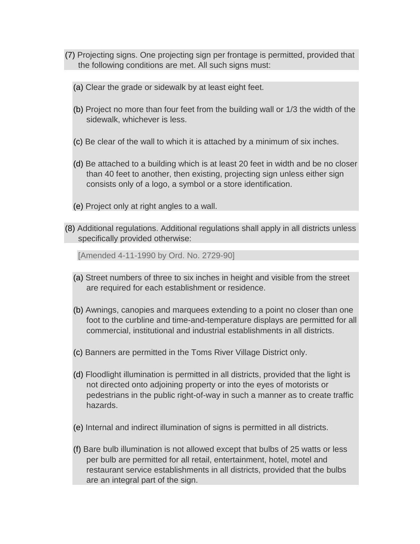- [\(7\)](http://ecode360.com/12011967#12011992#12011992) Projecting signs. One projecting sign per frontage is permitted, provided that the following conditions are met. All such signs must:
	- [\(a\)](http://ecode360.com/12011967#12011993#12011993) Clear the grade or sidewalk by at least eight feet.
	- [\(b\)](http://ecode360.com/12011967#12011994#12011994) Project no more than four feet from the building wall or 1/3 the width of the sidewalk, whichever is less.
	- [\(c\)](http://ecode360.com/12011967#12011995#12011995) Be clear of the wall to which it is attached by a minimum of six inches.
	- [\(d\)](http://ecode360.com/12011967#12011996#12011996) Be attached to a building which is at least 20 feet in width and be no closer than 40 feet to another, then existing, projecting sign unless either sign consists only of a logo, a symbol or a store identification.
	- [\(e\)](http://ecode360.com/12011967#12011997#12011997) Project only at right angles to a wall.
- [\(8\)](http://ecode360.com/12011967#12011998#12011998) Additional regulations. Additional regulations shall apply in all districts unless specifically provided otherwise:

[Amended 4-11-1990 by Ord. No. 2729-90]

- [\(a\)](http://ecode360.com/12011967#12011999#12011999) Street numbers of three to six inches in height and visible from the street are required for each establishment or residence.
- [\(b\)](http://ecode360.com/12011967#12012000#12012000) Awnings, canopies and marquees extending to a point no closer than one foot to the curbline and time-and-temperature displays are permitted for all commercial, institutional and industrial establishments in all districts.
- [\(c\)](http://ecode360.com/12011967#12012001#12012001) Banners are permitted in the Toms River Village District only.
- [\(d\)](http://ecode360.com/12011967#12012002#12012002) Floodlight illumination is permitted in all districts, provided that the light is not directed onto adjoining property or into the eyes of motorists or pedestrians in the public right-of-way in such a manner as to create traffic hazards.
- [\(e\)](http://ecode360.com/12011967#12012003#12012003) Internal and indirect illumination of signs is permitted in all districts.
- [\(f\)](http://ecode360.com/12011967#12012004#12012004) Bare bulb illumination is not allowed except that bulbs of 25 watts or less per bulb are permitted for all retail, entertainment, hotel, motel and restaurant service establishments in all districts, provided that the bulbs are an integral part of the sign.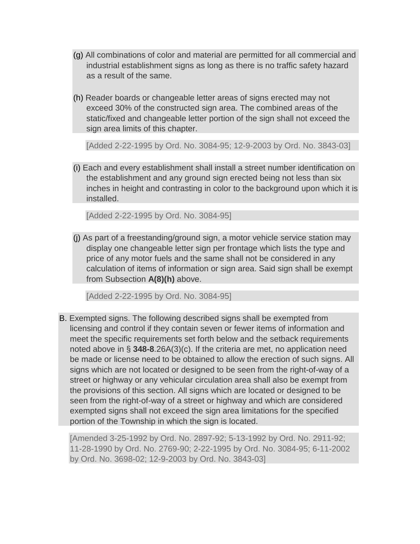- [\(g\)](http://ecode360.com/12011967#12012005#12012005) All combinations of color and material are permitted for all commercial and industrial establishment signs as long as there is no traffic safety hazard as a result of the same.
- [\(h\)](http://ecode360.com/12011967#12012006#12012006) Reader boards or changeable letter areas of signs erected may not exceed 30% of the constructed sign area. The combined areas of the static/fixed and changeable letter portion of the sign shall not exceed the sign area limits of this chapter.

[Added 2-22-1995 by Ord. No. 3084-95; 12-9-2003 by Ord. No. 3843-03]

[\(i\)](http://ecode360.com/12011967#12012007#12012007) Each and every establishment shall install a street number identification on the establishment and any ground sign erected being not less than six inches in height and contrasting in color to the background upon which it is installed.

[Added 2-22-1995 by Ord. No. 3084-95]

[\(j\)](http://ecode360.com/12011967#12012008#12012008) As part of a freestanding/ground sign, a motor vehicle service station may display one changeable letter sign per frontage which lists the type and price of any motor fuels and the same shall not be considered in any calculation of items of information or sign area. Said sign shall be exempt from Subsection **[A\(8\)\(h\)](http://ecode360.com/12011967#12012006#12012006)** above.

[Added 2-22-1995 by Ord. No. 3084-95]

[B.](http://ecode360.com/12011967#12012009#12012009) Exempted signs. The following described signs shall be exempted from licensing and control if they contain seven or fewer items of information and meet the specific requirements set forth below and the setback requirements noted above in § **[348-8](http://ecode360.com/12011967#12011456#12011456)**.26A(3)(c). If the criteria are met, no application need be made or license need to be obtained to allow the erection of such signs. All signs which are not located or designed to be seen from the right-of-way of a street or highway or any vehicular circulation area shall also be exempt from the provisions of this section. All signs which are located or designed to be seen from the right-of-way of a street or highway and which are considered exempted signs shall not exceed the sign area limitations for the specified portion of the Township in which the sign is located.

[Amended 3-25-1992 by Ord. No. 2897-92; 5-13-1992 by Ord. No. 2911-92; 11-28-1990 by Ord. No. 2769-90; 2-22-1995 by Ord. No. 3084-95; 6-11-2002 by Ord. No. 3698-02; 12-9-2003 by Ord. No. 3843-03]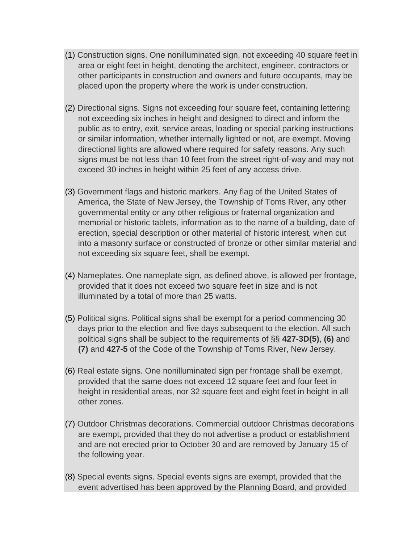- [\(1\)](http://ecode360.com/12011967#12012010#12012010) Construction signs. One nonilluminated sign, not exceeding 40 square feet in area or eight feet in height, denoting the architect, engineer, contractors or other participants in construction and owners and future occupants, may be placed upon the property where the work is under construction.
- [\(2\)](http://ecode360.com/12011967#12012011#12012011) Directional signs. Signs not exceeding four square feet, containing lettering not exceeding six inches in height and designed to direct and inform the public as to entry, exit, service areas, loading or special parking instructions or similar information, whether internally lighted or not, are exempt. Moving directional lights are allowed where required for safety reasons. Any such signs must be not less than 10 feet from the street right-of-way and may not exceed 30 inches in height within 25 feet of any access drive.
- [\(3\)](http://ecode360.com/12011967#12012012#12012012) Government flags and historic markers. Any flag of the United States of America, the State of New Jersey, the Township of Toms River, any other governmental entity or any other religious or fraternal organization and memorial or historic tablets, information as to the name of a building, date of erection, special description or other material of historic interest, when cut into a masonry surface or constructed of bronze or other similar material and not exceeding six square feet, shall be exempt.
- [\(4\)](http://ecode360.com/12011967#12012013#12012013) Nameplates. One nameplate sign, as defined above, is allowed per frontage, provided that it does not exceed two square feet in size and is not illuminated by a total of more than 25 watts.
- [\(5\)](http://ecode360.com/12011967#12012014#12012014) Political signs. Political signs shall be exempt for a period commencing 30 days prior to the election and five days subsequent to the election. All such political signs shall be subject to the requirements of §§ **[427-3D\(5\)](http://ecode360.com/12016648#12016648)**, **[\(6\)](http://ecode360.com/12016649#12016649)** and **[\(7\)](http://ecode360.com/12016650#12016650)** and **[427-5](http://ecode360.com/12016659#12016659)** of the Code of the Township of Toms River, New Jersey.
- [\(6\)](http://ecode360.com/12011967#12012015#12012015) Real estate signs. One nonilluminated sign per frontage shall be exempt, provided that the same does not exceed 12 square feet and four feet in height in residential areas, nor 32 square feet and eight feet in height in all other zones.
- [\(7\)](http://ecode360.com/12011967#12012016#12012016) Outdoor Christmas decorations. Commercial outdoor Christmas decorations are exempt, provided that they do not advertise a product or establishment and are not erected prior to October 30 and are removed by January 15 of the following year.
- [\(8\)](http://ecode360.com/12011967#12012017#12012017) Special events signs. Special events signs are exempt, provided that the event advertised has been approved by the Planning Board, and provided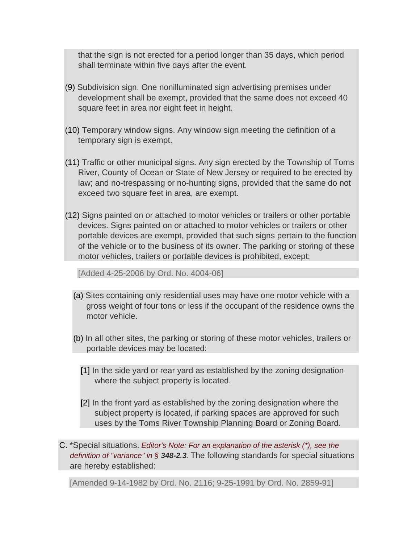that the sign is not erected for a period longer than 35 days, which period shall terminate within five days after the event.

- [\(9\)](http://ecode360.com/12011967#12012018#12012018) Subdivision sign. One nonilluminated sign advertising premises under development shall be exempt, provided that the same does not exceed 40 square feet in area nor eight feet in height.
- [\(10\)](http://ecode360.com/12011967#12012019#12012019) Temporary window signs. Any window sign meeting the definition of a temporary sign is exempt.
- [\(11\)](http://ecode360.com/12011967#12012020#12012020) Traffic or other municipal signs. Any sign erected by the Township of Toms River, County of Ocean or State of New Jersey or required to be erected by law; and no-trespassing or no-hunting signs, provided that the same do not exceed two square feet in area, are exempt.
- [\(12\)](http://ecode360.com/12011967#12012021#12012021) Signs painted on or attached to motor vehicles or trailers or other portable devices. Signs painted on or attached to motor vehicles or trailers or other portable devices are exempt, provided that such signs pertain to the function of the vehicle or to the business of its owner. The parking or storing of these motor vehicles, trailers or portable devices is prohibited, except:

[Added 4-25-2006 by Ord. No. 4004-06]

- [\(a\)](http://ecode360.com/12011967#12012022#12012022) Sites containing only residential uses may have one motor vehicle with a gross weight of four tons or less if the occupant of the residence owns the motor vehicle.
- [\(b\)](http://ecode360.com/12011967#12012023#12012023) In all other sites, the parking or storing of these motor vehicles, trailers or portable devices may be located:
	- [\[1\]](http://ecode360.com/12011967#12012024#12012024) In the side yard or rear yard as established by the zoning designation where the subject property is located.
	- [\[2\]](http://ecode360.com/12011967#12012025#12012025) In the front yard as established by the zoning designation where the subject property is located, if parking spaces are approved for such uses by the Toms River Township Planning Board or Zoning Board.
- [C.](http://ecode360.com/12011967#12012026#12012026) \*Special situations. *Editor's Note: For an explanation of the asterisk (\*), see the definition of "variance" in § [348-2.3](http://ecode360.com/12011967#12009840#12009840).* The following standards for special situations are hereby established:

[Amended 9-14-1982 by Ord. No. 2116; 9-25-1991 by Ord. No. 2859-91]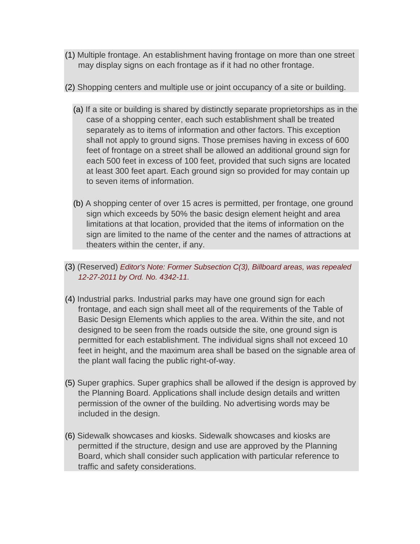- [\(1\)](http://ecode360.com/12011967#12012027#12012027) Multiple frontage. An establishment having frontage on more than one street may display signs on each frontage as if it had no other frontage.
- [\(2\)](http://ecode360.com/12011967#12012028#12012028) Shopping centers and multiple use or joint occupancy of a site or building.
	- [\(a\)](http://ecode360.com/12011967#12012029#12012029) If a site or building is shared by distinctly separate proprietorships as in the case of a shopping center, each such establishment shall be treated separately as to items of information and other factors. This exception shall not apply to ground signs. Those premises having in excess of 600 feet of frontage on a street shall be allowed an additional ground sign for each 500 feet in excess of 100 feet, provided that such signs are located at least 300 feet apart. Each ground sign so provided for may contain up to seven items of information.
	- [\(b\)](http://ecode360.com/12011967#12012030#12012030) A shopping center of over 15 acres is permitted, per frontage, one ground sign which exceeds by 50% the basic design element height and area limitations at that location, provided that the items of information on the sign are limited to the name of the center and the names of attractions at theaters within the center, if any.
- [\(3\)](http://ecode360.com/12011967#12012031#12012031) (Reserved) *Editor's Note: Former Subsection C(3), Billboard areas, was repealed 12-27-2011 by Ord. No. 4342-11.*
- [\(4\)](http://ecode360.com/12011967#12012032#12012032) Industrial parks. Industrial parks may have one ground sign for each frontage, and each sign shall meet all of the requirements of the Table of Basic Design Elements which applies to the area. Within the site, and not designed to be seen from the roads outside the site, one ground sign is permitted for each establishment. The individual signs shall not exceed 10 feet in height, and the maximum area shall be based on the signable area of the plant wall facing the public right-of-way.
- [\(5\)](http://ecode360.com/12011967#12012033#12012033) Super graphics. Super graphics shall be allowed if the design is approved by the Planning Board. Applications shall include design details and written permission of the owner of the building. No advertising words may be included in the design.
- [\(6\)](http://ecode360.com/12011967#12012034#12012034) Sidewalk showcases and kiosks. Sidewalk showcases and kiosks are permitted if the structure, design and use are approved by the Planning Board, which shall consider such application with particular reference to traffic and safety considerations.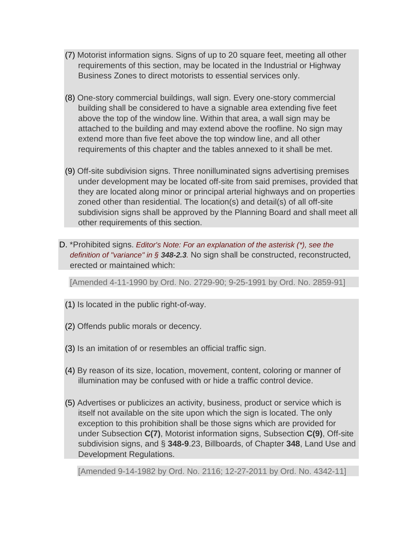- [\(7\)](http://ecode360.com/12011967#12012035#12012035) Motorist information signs. Signs of up to 20 square feet, meeting all other requirements of this section, may be located in the Industrial or Highway Business Zones to direct motorists to essential services only.
- [\(8\)](http://ecode360.com/12011967#12012036#12012036) One-story commercial buildings, wall sign. Every one-story commercial building shall be considered to have a signable area extending five feet above the top of the window line. Within that area, a wall sign may be attached to the building and may extend above the roofline. No sign may extend more than five feet above the top window line, and all other requirements of this chapter and the tables annexed to it shall be met.
- [\(9\)](http://ecode360.com/12011967#12012037#12012037) Off-site subdivision signs. Three nonilluminated signs advertising premises under development may be located off-site from said premises, provided that they are located along minor or principal arterial highways and on properties zoned other than residential. The location(s) and detail(s) of all off-site subdivision signs shall be approved by the Planning Board and shall meet all other requirements of this section.
- [D.](http://ecode360.com/12011967#12012038#12012038) \*Prohibited signs. *Editor's Note: For an explanation of the asterisk (\*), see the definition of "variance" in § [348-2.3](http://ecode360.com/12011967#12009840#12009840).* No sign shall be constructed, reconstructed, erected or maintained which:

[Amended 4-11-1990 by Ord. No. 2729-90; 9-25-1991 by Ord. No. 2859-91]

- [\(1\)](http://ecode360.com/12011967#12012039#12012039) Is located in the public right-of-way.
- [\(2\)](http://ecode360.com/12011967#12012040#12012040) Offends public morals or decency.
- [\(3\)](http://ecode360.com/12011967#12012041#12012041) Is an imitation of or resembles an official traffic sign.
- [\(4\)](http://ecode360.com/12011967#12012042#12012042) By reason of its size, location, movement, content, coloring or manner of illumination may be confused with or hide a traffic control device.
- [\(5\)](http://ecode360.com/12011967#12012043#12012043) Advertises or publicizes an activity, business, product or service which is itself not available on the site upon which the sign is located. The only exception to this prohibition shall be those signs which are provided for under Subsection **[C\(7\)](http://ecode360.com/12011967#12012035#12012035)**, Motorist information signs, Subsection **[C\(9\)](http://ecode360.com/12011967#12012037#12012037)**, Off-site subdivision signs, and § **[348-9](http://ecode360.com/12011967#12012509#12012509)**.23, Billboards, of Chapter **[348](http://ecode360.com/12011967#11762651#11762651)**, Land Use and Development Regulations.

[Amended 9-14-1982 by Ord. No. 2116; 12-27-2011 by Ord. No. 4342-11]